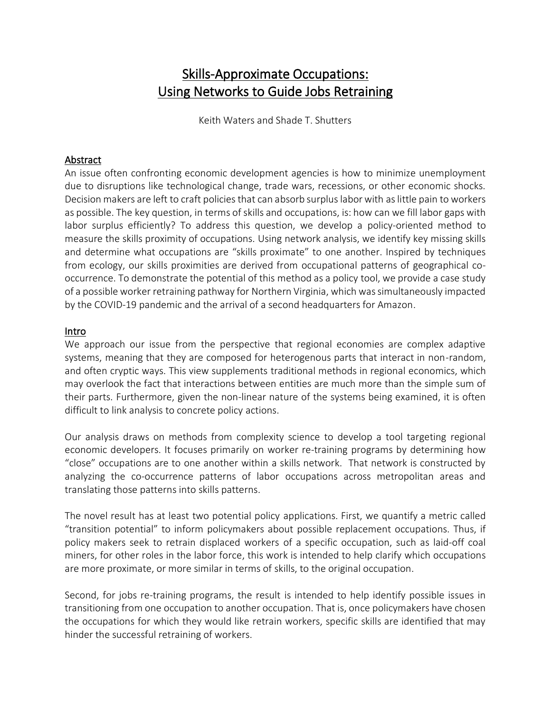# Skills-Approximate Occupations: Using Networks to Guide Jobs Retraining

Keith Waters and Shade T. Shutters

#### Abstract

An issue often confronting economic development agencies is how to minimize unemployment due to disruptions like technological change, trade wars, recessions, or other economic shocks. Decision makers are left to craft policies that can absorb surplus labor with as little pain to workers as possible. The key question, in terms of skills and occupations, is: how can we fill labor gaps with labor surplus efficiently? To address this question, we develop a policy-oriented method to measure the skills proximity of occupations. Using network analysis, we identify key missing skills and determine what occupations are "skills proximate" to one another. Inspired by techniques from ecology, our skills proximities are derived from occupational patterns of geographical cooccurrence. To demonstrate the potential of this method as a policy tool, we provide a case study of a possible worker retraining pathway for Northern Virginia, which was simultaneously impacted by the COVID-19 pandemic and the arrival of a second headquarters for Amazon.

#### Intro

We approach our issue from the perspective that regional economies are complex adaptive systems, meaning that they are composed for heterogenous parts that interact in non-random, and often cryptic ways. This view supplements traditional methods in regional economics, which may overlook the fact that interactions between entities are much more than the simple sum of their parts. Furthermore, given the non-linear nature of the systems being examined, it is often difficult to link analysis to concrete policy actions.

Our analysis draws on methods from complexity science to develop a tool targeting regional economic developers. It focuses primarily on worker re-training programs by determining how "close" occupations are to one another within a skills network. That network is constructed by analyzing the co-occurrence patterns of labor occupations across metropolitan areas and translating those patterns into skills patterns.

The novel result has at least two potential policy applications. First, we quantify a metric called "transition potential" to inform policymakers about possible replacement occupations. Thus, if policy makers seek to retrain displaced workers of a specific occupation, such as laid-off coal miners, for other roles in the labor force, this work is intended to help clarify which occupations are more proximate, or more similar in terms of skills, to the original occupation.

Second, for jobs re-training programs, the result is intended to help identify possible issues in transitioning from one occupation to another occupation. That is, once policymakers have chosen the occupations for which they would like retrain workers, specific skills are identified that may hinder the successful retraining of workers.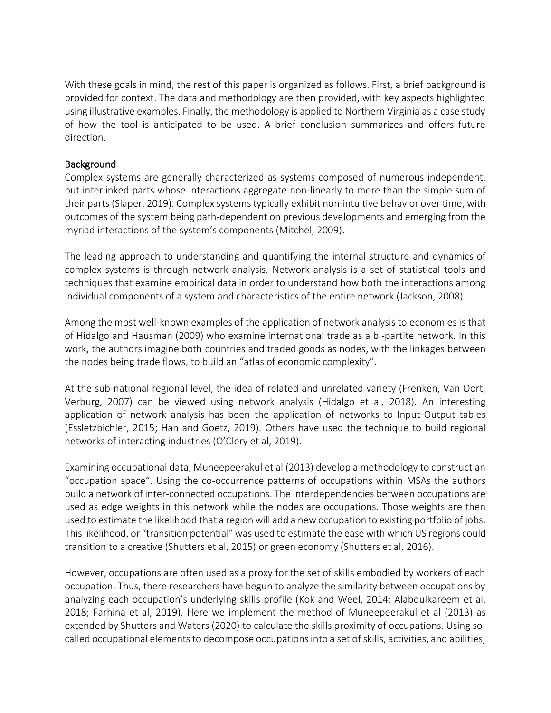With these goals in mind, the rest of this paper is organized as follows. First, a brief background is provided for context. The data and methodology are then provided, with key aspects highlighted using illustrative examples. Finally, the methodology is applied to Northern Virginia as a case study of how the tool is anticipated to be used. A brief conclusion summarizes and offers future direction.

# **Background**

Complex systems are generally characterized as systems composed of numerous independent, but interlinked parts whose interactions aggregate non-linearly to more than the simple sum of their parts (Slaper, 2019). Complex systems typically exhibit non-intuitive behavior over time, with outcomes of the system being path-dependent on previous developments and emerging from the myriad interactions of the system's components (Mitchel, 2009).

The leading approach to understanding and quantifying the internal structure and dynamics of complex systems is through network analysis. Network analysis is a set of statistical tools and techniques that examine empirical data in order to understand how both the interactions among individual components of a system and characteristics of the entire network (Jackson, 2008).

Among the most well-known examples of the application of network analysis to economies is that of Hidalgo and Hausman (2009) who examine international trade as a bi-partite network. In this work, the authors imagine both countries and traded goods as nodes, with the linkages between the nodes being trade flows, to build an "atlas of economic complexity".

At the sub-national regional level, the idea of related and unrelated variety (Frenken, Van Oort, Verburg, 2007) can be viewed using network analysis (Hidalgo et al, 2018). An interesting application of network analysis has been the application of networks to Input-Output tables (Essletzbichler, 2015; Han and Goetz, 2019). Others have used the technique to build regional networks of interacting industries (O'Clery et al, 2019).

Examining occupational data, Muneepeerakul et al (2013) develop a methodology to construct an "occupation space". Using the co-occurrence patterns of occupations within MSAs the authors build a network of inter-connected occupations. The interdependencies between occupations are used as edge weights in this network while the nodes are occupations. Those weights are then used to estimate the likelihood that a region will add a new occupation to existing portfolio of jobs. This likelihood, or "transition potential" was used to estimate the ease with which US regions could transition to a creative (Shutters et al, 2015) or green economy (Shutters et al, 2016).

However, occupations are often used as a proxy for the set of skills embodied by workers of each occupation. Thus, there researchers have begun to analyze the similarity between occupations by analyzing each occupation's underlying skills profile (Kok and Weel, 2014; Alabdulkareem et al, 2018; Farhina et al, 2019). Here we implement the method of Muneepeerakul et al (2013) as extended by Shutters and Waters (2020) to calculate the skills proximity of occupations. Using socalled occupational elements to decompose occupations into a set of skills, activities, and abilities,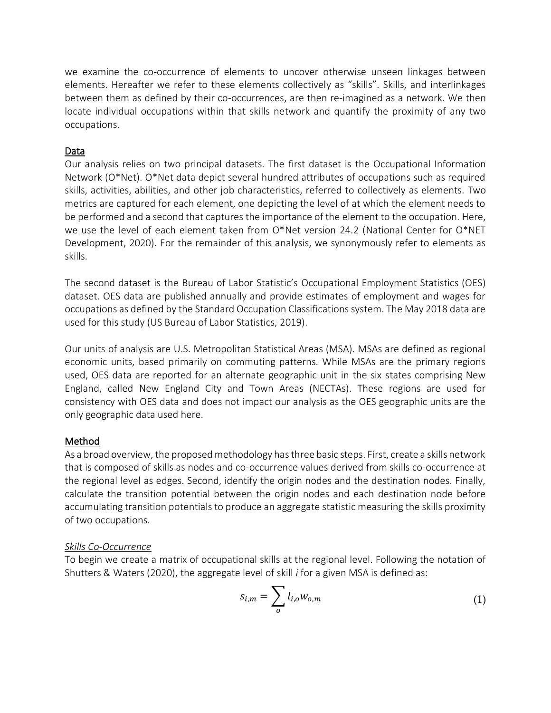we examine the co-occurrence of elements to uncover otherwise unseen linkages between elements. Hereafter we refer to these elements collectively as "skills". Skills, and interlinkages between them as defined by their co-occurrences, are then re-imagined as a network. We then locate individual occupations within that skills network and quantify the proximity of any two occupations.

# Data

Our analysis relies on two principal datasets. The first dataset is the Occupational Information Network (O\*Net). O\*Net data depict several hundred attributes of occupations such as required skills, activities, abilities, and other job characteristics, referred to collectively as elements. Two metrics are captured for each element, one depicting the level of at which the element needs to be performed and a second that captures the importance of the element to the occupation. Here, we use the level of each element taken from O\*Net version 24.2 (National Center for O\*NET Development, 2020). For the remainder of this analysis, we synonymously refer to elements as skills.

The second dataset is the Bureau of Labor Statistic's Occupational Employment Statistics (OES) dataset. OES data are published annually and provide estimates of employment and wages for occupations as defined by the Standard Occupation Classifications system. The May 2018 data are used for this study (US Bureau of Labor Statistics, 2019).

Our units of analysis are U.S. Metropolitan Statistical Areas (MSA). MSAs are defined as regional economic units, based primarily on commuting patterns. While MSAs are the primary regions used, OES data are reported for an alternate geographic unit in the six states comprising New England, called New England City and Town Areas (NECTAs). These regions are used for consistency with OES data and does not impact our analysis as the OES geographic units are the only geographic data used here.

# Method

As a broad overview, the proposed methodology has three basic steps. First, create a skills network that is composed of skills as nodes and co-occurrence values derived from skills co-occurrence at the regional level as edges. Second, identify the origin nodes and the destination nodes. Finally, calculate the transition potential between the origin nodes and each destination node before accumulating transition potentials to produce an aggregate statistic measuring the skills proximity of two occupations.

# *Skills Co-Occurrence*

To begin we create a matrix of occupational skills at the regional level. Following the notation of Shutters & Waters (2020), the aggregate level of skill *i* for a given MSA is defined as:

$$
s_{i,m} = \sum_{o} l_{i,o} w_{o,m} \tag{1}
$$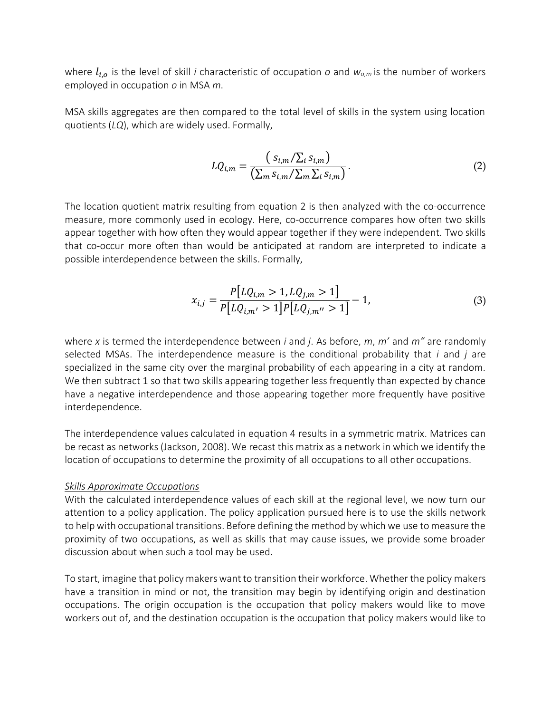where  $l_{i,o}$  is the level of skill *i* characteristic of occupation *o* and  $w_{o,m}$  is the number of workers employed in occupation *o* in MSA *m*.

MSA skills aggregates are then compared to the total level of skills in the system using location quotients (*LQ*), which are widely used. Formally,

$$
LQ_{i,m} = \frac{(s_{i,m}/\Sigma_i s_{i,m})}{(\Sigma_m s_{i,m}/\Sigma_m \Sigma_i s_{i,m})}.
$$
 (2)

The location quotient matrix resulting from equation 2 is then analyzed with the co-occurrence measure, more commonly used in ecology. Here, co-occurrence compares how often two skills appear together with how often they would appear together if they were independent. Two skills that co-occur more often than would be anticipated at random are interpreted to indicate a possible interdependence between the skills. Formally,

$$
x_{i,j} = \frac{P[LQ_{i,m} > 1, LQ_{j,m} > 1]}{P[LQ_{i,m'} > 1]P[LQ_{j,m''} > 1]} - 1,
$$
\n(3)

where *x* is termed the interdependence between *i* and *j*. As before, *m*, *m'* and *m"* are randomly selected MSAs. The interdependence measure is the conditional probability that *i* and *j* are specialized in the same city over the marginal probability of each appearing in a city at random. We then subtract 1 so that two skills appearing together less frequently than expected by chance have a negative interdependence and those appearing together more frequently have positive interdependence.

The interdependence values calculated in equation 4 results in a symmetric matrix. Matrices can be recast as networks (Jackson, 2008). We recast this matrix as a network in which we identify the location of occupations to determine the proximity of all occupations to all other occupations.

#### *Skills Approximate Occupations*

With the calculated interdependence values of each skill at the regional level, we now turn our attention to a policy application. The policy application pursued here is to use the skills network to help with occupational transitions. Before defining the method by which we use to measure the proximity of two occupations, as well as skills that may cause issues, we provide some broader discussion about when such a tool may be used.

To start, imagine that policy makers want to transition their workforce. Whether the policy makers have a transition in mind or not, the transition may begin by identifying origin and destination occupations. The origin occupation is the occupation that policy makers would like to move workers out of, and the destination occupation is the occupation that policy makers would like to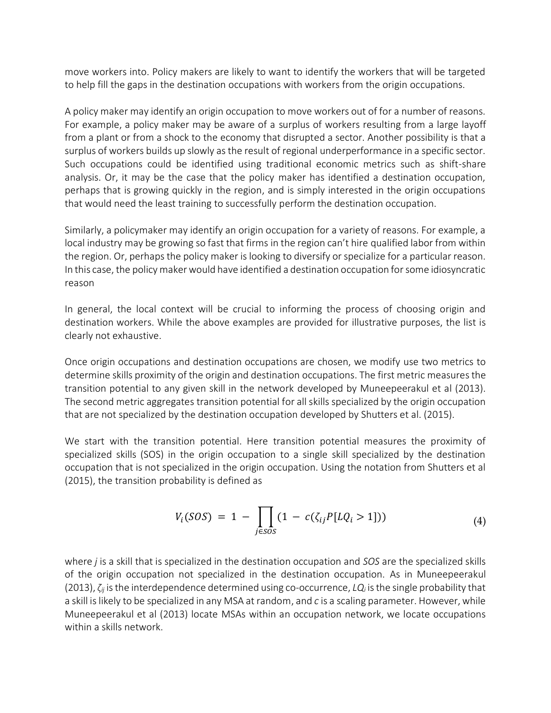move workers into. Policy makers are likely to want to identify the workers that will be targeted to help fill the gaps in the destination occupations with workers from the origin occupations.

A policy maker may identify an origin occupation to move workers out of for a number of reasons. For example, a policy maker may be aware of a surplus of workers resulting from a large layoff from a plant or from a shock to the economy that disrupted a sector. Another possibility is that a surplus of workers builds up slowly as the result of regional underperformance in a specific sector. Such occupations could be identified using traditional economic metrics such as shift-share analysis. Or, it may be the case that the policy maker has identified a destination occupation, perhaps that is growing quickly in the region, and is simply interested in the origin occupations that would need the least training to successfully perform the destination occupation.

Similarly, a policymaker may identify an origin occupation for a variety of reasons. For example, a local industry may be growing so fast that firms in the region can't hire qualified labor from within the region. Or, perhaps the policy maker is looking to diversify or specialize for a particular reason. In this case, the policy maker would have identified a destination occupation for some idiosyncratic reason

In general, the local context will be crucial to informing the process of choosing origin and destination workers. While the above examples are provided for illustrative purposes, the list is clearly not exhaustive.

Once origin occupations and destination occupations are chosen, we modify use two metrics to determine skills proximity of the origin and destination occupations. The first metric measures the transition potential to any given skill in the network developed by Muneepeerakul et al (2013). The second metric aggregates transition potential for all skills specialized by the origin occupation that are not specialized by the destination occupation developed by Shutters et al. (2015).

We start with the transition potential. Here transition potential measures the proximity of specialized skills (SOS) in the origin occupation to a single skill specialized by the destination occupation that is not specialized in the origin occupation. Using the notation from Shutters et al (2015), the transition probability is defined as

$$
V_i(SOS) = 1 - \prod_{j \in SOS} (1 - c(\zeta_{ij}P[LQ_i > 1])) \tag{4}
$$

where *j* is a skill that is specialized in the destination occupation and *SOS* are the specialized skills of the origin occupation not specialized in the destination occupation. As in Muneepeerakul (2013), *ζij* is the interdependence determined using co-occurrence, *LQ<sup>i</sup>* is the single probability that a skill is likely to be specialized in any MSA at random, and *c* is a scaling parameter. However, while Muneepeerakul et al (2013) locate MSAs within an occupation network, we locate occupations within a skills network.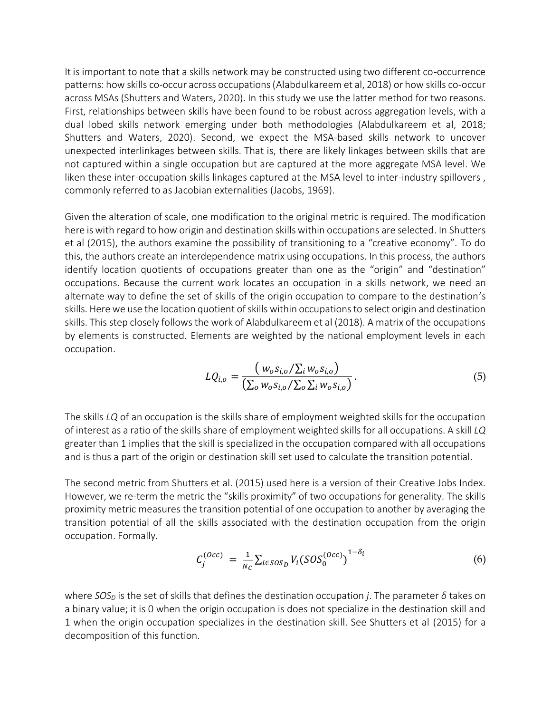It is important to note that a skills network may be constructed using two different co-occurrence patterns: how skills co-occur across occupations (Alabdulkareem et al, 2018) or how skills co-occur across MSAs (Shutters and Waters, 2020). In this study we use the latter method for two reasons. First, relationships between skills have been found to be robust across aggregation levels, with a dual lobed skills network emerging under both methodologies (Alabdulkareem et al, 2018; Shutters and Waters, 2020). Second, we expect the MSA-based skills network to uncover unexpected interlinkages between skills. That is, there are likely linkages between skills that are not captured within a single occupation but are captured at the more aggregate MSA level. We liken these inter-occupation skills linkages captured at the MSA level to inter-industry spillovers , commonly referred to as Jacobian externalities (Jacobs, 1969).

Given the alteration of scale, one modification to the original metric is required. The modification here is with regard to how origin and destination skills within occupations are selected. In Shutters et al (2015), the authors examine the possibility of transitioning to a "creative economy". To do this, the authors create an interdependence matrix using occupations. In this process, the authors identify location quotients of occupations greater than one as the "origin" and "destination" occupations. Because the current work locates an occupation in a skills network, we need an alternate way to define the set of skills of the origin occupation to compare to the destination's skills. Here we use the location quotient of skills within occupations to select origin and destination skills. This step closely follows the work of Alabdulkareem et al (2018). A matrix of the occupations by elements is constructed. Elements are weighted by the national employment levels in each occupation.

$$
LQ_{i,o} = \frac{(w_o s_{i,o} / \Sigma_i w_o s_{i,o})}{(\Sigma_o w_o s_{i,o} / \Sigma_o \Sigma_i w_o s_{i,o})}.
$$
\n(5)

The skills *LQ* of an occupation is the skills share of employment weighted skills for the occupation of interest as a ratio of the skills share of employment weighted skills for all occupations. A skill *LQ* greater than 1 implies that the skill is specialized in the occupation compared with all occupations and is thus a part of the origin or destination skill set used to calculate the transition potential.

The second metric from Shutters et al. (2015) used here is a version of their Creative Jobs Index. However, we re-term the metric the "skills proximity" of two occupations for generality. The skills proximity metric measures the transition potential of one occupation to another by averaging the transition potential of all the skills associated with the destination occupation from the origin occupation. Formally.

$$
C_j^{(Occ)} = \frac{1}{N_C} \sum_{i \in SOS_D} V_i (SOS_0^{(Occ)})^{1-\delta_i}
$$
 (6)

where *SOS<sup>D</sup>* is the set of skills that defines the destination occupation *j*. The parameter *δ* takes on a binary value; it is 0 when the origin occupation is does not specialize in the destination skill and 1 when the origin occupation specializes in the destination skill. See Shutters et al (2015) for a decomposition of this function.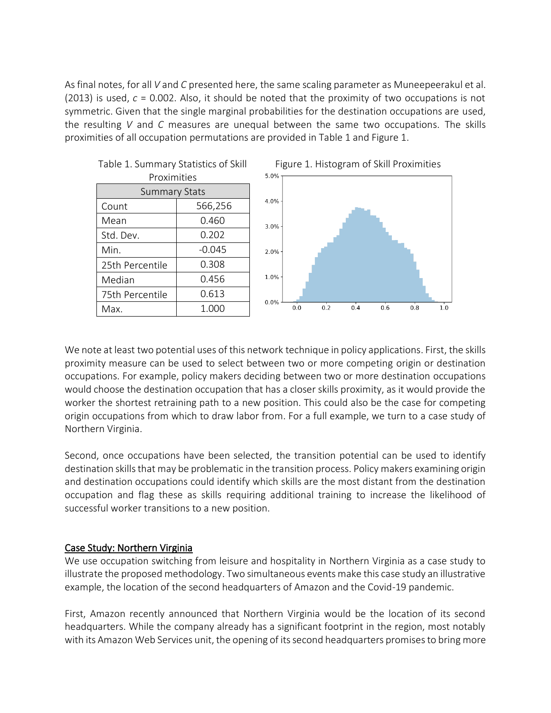As final notes, for all *V* and *C* presented here, the same scaling parameter as Muneepeerakul et al. (2013) is used, *c* = 0.002. Also, it should be noted that the proximity of two occupations is not symmetric. Given that the single marginal probabilities for the destination occupations are used, the resulting *V* and *C* measures are unequal between the same two occupations. The skills proximities of all occupation permutations are provided in Table 1 and Figure 1.

| Proximities          |          |  |  |  |
|----------------------|----------|--|--|--|
| <b>Summary Stats</b> |          |  |  |  |
| Count                | 566,256  |  |  |  |
| Mean                 | 0.460    |  |  |  |
| Std. Dev.            | 0.202    |  |  |  |
| Min.                 | $-0.045$ |  |  |  |
| 25th Percentile      | 0.308    |  |  |  |
| Median               | 0.456    |  |  |  |
| 75th Percentile      | 0.613    |  |  |  |
| Max.                 | 1.000    |  |  |  |

Table 1. Summary Statistics of Skill





We note at least two potential uses of this network technique in policy applications. First, the skills proximity measure can be used to select between two or more competing origin or destination occupations. For example, policy makers deciding between two or more destination occupations would choose the destination occupation that has a closer skills proximity, as it would provide the worker the shortest retraining path to a new position. This could also be the case for competing origin occupations from which to draw labor from. For a full example, we turn to a case study of Northern Virginia.

Second, once occupations have been selected, the transition potential can be used to identify destination skills that may be problematic in the transition process. Policy makers examining origin and destination occupations could identify which skills are the most distant from the destination occupation and flag these as skills requiring additional training to increase the likelihood of successful worker transitions to a new position.

# Case Study: Northern Virginia

We use occupation switching from leisure and hospitality in Northern Virginia as a case study to illustrate the proposed methodology. Two simultaneous events make this case study an illustrative example, the location of the second headquarters of Amazon and the Covid-19 pandemic.

First, Amazon recently announced that Northern Virginia would be the location of its second headquarters. While the company already has a significant footprint in the region, most notably with its Amazon Web Services unit, the opening of its second headquarters promisesto bring more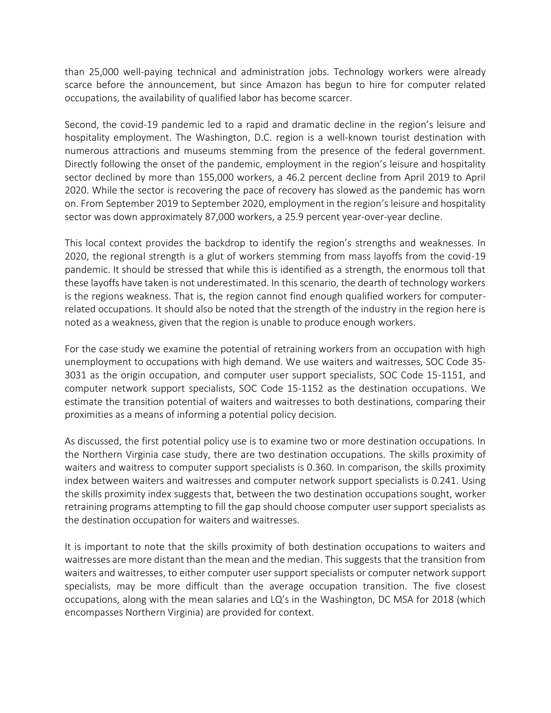than 25,000 well-paying technical and administration jobs. Technology workers were already scarce before the announcement, but since Amazon has begun to hire for computer related occupations, the availability of qualified labor has become scarcer.

Second, the covid-19 pandemic led to a rapid and dramatic decline in the region's leisure and hospitality employment. The Washington, D.C. region is a well-known tourist destination with numerous attractions and museums stemming from the presence of the federal government. Directly following the onset of the pandemic, employment in the region's leisure and hospitality sector declined by more than 155,000 workers, a 46.2 percent decline from April 2019 to April 2020. While the sector is recovering the pace of recovery has slowed as the pandemic has worn on. From September 2019 to September 2020, employment in the region's leisure and hospitality sector was down approximately 87,000 workers, a 25.9 percent year-over-year decline.

This local context provides the backdrop to identify the region's strengths and weaknesses. In 2020, the regional strength is a glut of workers stemming from mass layoffs from the covid-19 pandemic. It should be stressed that while this is identified as a strength, the enormous toll that these layoffs have taken is not underestimated. In this scenario, the dearth of technology workers is the regions weakness. That is, the region cannot find enough qualified workers for computerrelated occupations. It should also be noted that the strength of the industry in the region here is noted as a weakness, given that the region is unable to produce enough workers.

For the case study we examine the potential of retraining workers from an occupation with high unemployment to occupations with high demand. We use waiters and waitresses, SOC Code 35- 3031 as the origin occupation, and computer user support specialists, SOC Code 15-1151, and computer network support specialists, SOC Code 15-1152 as the destination occupations. We estimate the transition potential of waiters and waitresses to both destinations, comparing their proximities as a means of informing a potential policy decision.

As discussed, the first potential policy use is to examine two or more destination occupations. In the Northern Virginia case study, there are two destination occupations. The skills proximity of waiters and waitress to computer support specialists is 0.360. In comparison, the skills proximity index between waiters and waitresses and computer network support specialists is 0.241. Using the skills proximity index suggests that, between the two destination occupations sought, worker retraining programs attempting to fill the gap should choose computer user support specialists as the destination occupation for waiters and waitresses.

It is important to note that the skills proximity of both destination occupations to waiters and waitresses are more distant than the mean and the median. This suggests that the transition from waiters and waitresses, to either computer user support specialists or computer network support specialists, may be more difficult than the average occupation transition. The five closest occupations, along with the mean salaries and LQ's in the Washington, DC MSA for 2018 (which encompasses Northern Virginia) are provided for context.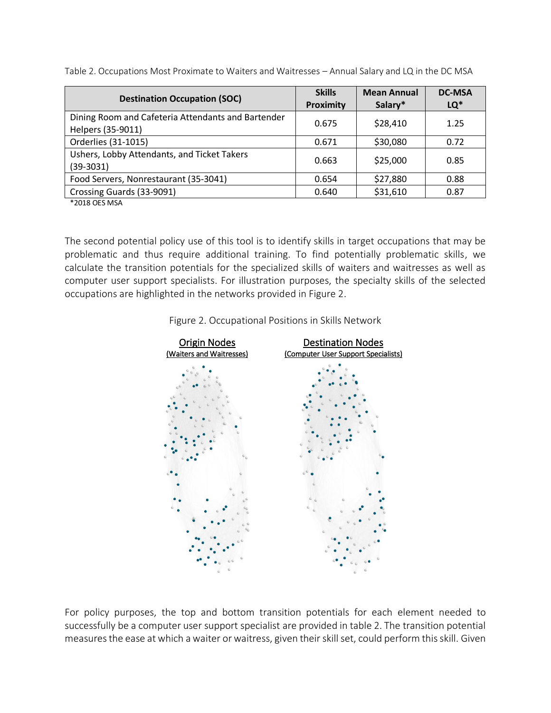| <b>Destination Occupation (SOC)</b>                                     | <b>Skills</b><br>Proximity | <b>Mean Annual</b><br>Salary* | <b>DC-MSA</b><br>LQ* |
|-------------------------------------------------------------------------|----------------------------|-------------------------------|----------------------|
| Dining Room and Cafeteria Attendants and Bartender<br>Helpers (35-9011) | 0.675                      | \$28,410                      | 1.25                 |
| Orderlies (31-1015)                                                     | 0.671                      | \$30,080                      | 0.72                 |
| Ushers, Lobby Attendants, and Ticket Takers<br>$(39-3031)$              | 0.663                      | \$25,000                      | 0.85                 |
| Food Servers, Nonrestaurant (35-3041)                                   | 0.654                      | \$27,880                      | 0.88                 |
| Crossing Guards (33-9091)                                               | 0.640                      | \$31,610                      | 0.87                 |

Table 2. Occupations Most Proximate to Waiters and Waitresses – Annual Salary and LQ in the DC MSA

\*2018 OES MSA

The second potential policy use of this tool is to identify skills in target occupations that may be problematic and thus require additional training. To find potentially problematic skills, we calculate the transition potentials for the specialized skills of waiters and waitresses as well as computer user support specialists. For illustration purposes, the specialty skills of the selected occupations are highlighted in the networks provided in Figure 2.





For policy purposes, the top and bottom transition potentials for each element needed to successfully be a computer user support specialist are provided in table 2. The transition potential measures the ease at which a waiter or waitress, given their skill set, could perform this skill. Given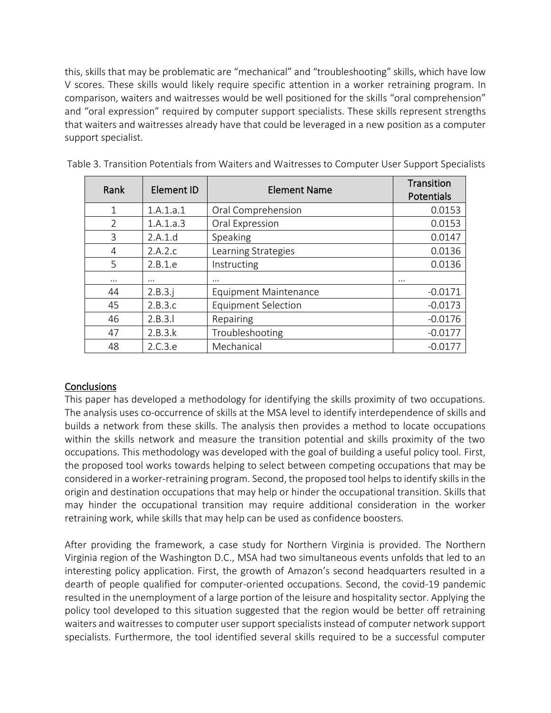this, skills that may be problematic are "mechanical" and "troubleshooting" skills, which have low V scores. These skills would likely require specific attention in a worker retraining program. In comparison, waiters and waitresses would be well positioned for the skills "oral comprehension" and "oral expression" required by computer support specialists. These skills represent strengths that waiters and waitresses already have that could be leveraged in a new position as a computer support specialist.

| Rank          | Element ID | <b>Element Name</b>          | Transition<br>Potentials |
|---------------|------------|------------------------------|--------------------------|
| $\mathbf{1}$  | 1.A.1.a.1  | Oral Comprehension           | 0.0153                   |
| $\mathcal{P}$ | 1.A.1.a.3  | Oral Expression              | 0.0153                   |
| 3             | 2.A.1.d    | Speaking                     | 0.0147                   |
| 4             | 2.A.2.c    | Learning Strategies          | 0.0136                   |
| 5             | 2.B.1.e    | Instructing                  | 0.0136                   |
| $\cdots$      | $\cdots$   | $\cdots$                     | $\cdots$                 |
| 44            | 2.B.3.i    | <b>Equipment Maintenance</b> | $-0.0171$                |
| 45            | 2.B.3.c    | <b>Equipment Selection</b>   | $-0.0173$                |
| 46            | 2.B.3.1    | Repairing                    | $-0.0176$                |
| 47            | 2.B.3.k    | Troubleshooting              | $-0.0177$                |
| 48            | 2.C.3.e.   | Mechanical                   | $-0.0177$                |

| Table 3. Transition Potentials from Waiters and Waitresses to Computer User Support Specialists |  |  |  |
|-------------------------------------------------------------------------------------------------|--|--|--|
|-------------------------------------------------------------------------------------------------|--|--|--|

# **Conclusions**

This paper has developed a methodology for identifying the skills proximity of two occupations. The analysis uses co-occurrence of skills at the MSA level to identify interdependence of skills and builds a network from these skills. The analysis then provides a method to locate occupations within the skills network and measure the transition potential and skills proximity of the two occupations. This methodology was developed with the goal of building a useful policy tool. First, the proposed tool works towards helping to select between competing occupations that may be considered in a worker-retraining program. Second, the proposed tool helps to identify skills in the origin and destination occupations that may help or hinder the occupational transition. Skills that may hinder the occupational transition may require additional consideration in the worker retraining work, while skills that may help can be used as confidence boosters.

After providing the framework, a case study for Northern Virginia is provided. The Northern Virginia region of the Washington D.C., MSA had two simultaneous events unfolds that led to an interesting policy application. First, the growth of Amazon's second headquarters resulted in a dearth of people qualified for computer-oriented occupations. Second, the covid-19 pandemic resulted in the unemployment of a large portion of the leisure and hospitality sector. Applying the policy tool developed to this situation suggested that the region would be better off retraining waiters and waitresses to computer user support specialists instead of computer network support specialists. Furthermore, the tool identified several skills required to be a successful computer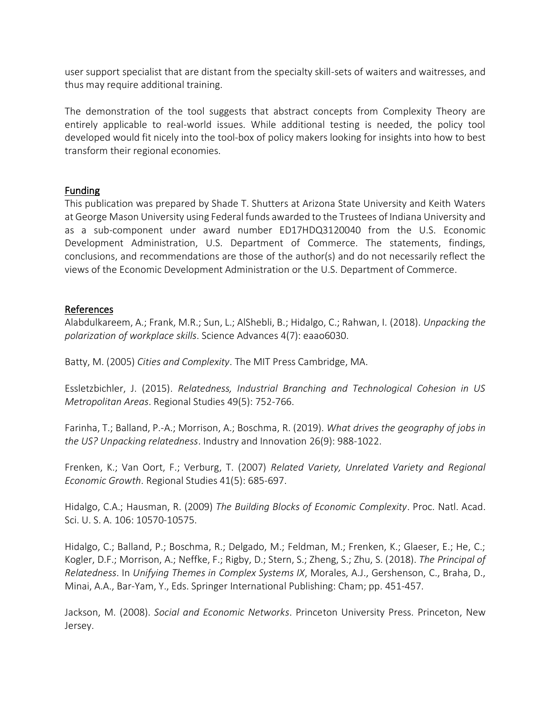user support specialist that are distant from the specialty skill-sets of waiters and waitresses, and thus may require additional training.

The demonstration of the tool suggests that abstract concepts from Complexity Theory are entirely applicable to real-world issues. While additional testing is needed, the policy tool developed would fit nicely into the tool-box of policy makers looking for insights into how to best transform their regional economies.

#### Funding

This publication was prepared by Shade T. Shutters at Arizona State University and Keith Waters at George Mason University using Federal funds awarded to the Trustees of Indiana University and as a sub-component under award number ED17HDQ3120040 from the U.S. Economic Development Administration, U.S. Department of Commerce. The statements, findings, conclusions, and recommendations are those of the author(s) and do not necessarily reflect the views of the Economic Development Administration or the U.S. Department of Commerce.

# References

Alabdulkareem, A.; Frank, M.R.; Sun, L.; AlShebli, B.; Hidalgo, C.; Rahwan, I. (2018). *Unpacking the polarization of workplace skills*. Science Advances 4(7): eaao6030.

Batty, M. (2005) *Cities and Complexity*. The MIT Press Cambridge, MA.

Essletzbichler, J. (2015). *Relatedness, Industrial Branching and Technological Cohesion in US Metropolitan Areas*. Regional Studies 49(5): 752-766.

Farinha, T.; Balland, P.-A.; Morrison, A.; Boschma, R. (2019). *What drives the geography of jobs in the US? Unpacking relatedness*. Industry and Innovation 26(9): 988-1022.

Frenken, K.; Van Oort, F.; Verburg, T. (2007) *Related Variety, Unrelated Variety and Regional Economic Growth*. Regional Studies 41(5): 685-697.

Hidalgo, C.A.; Hausman, R. (2009) *The Building Blocks of Economic Complexity*. Proc. Natl. Acad. Sci. U. S. A. 106: 10570-10575.

Hidalgo, C.; Balland, P.; Boschma, R.; Delgado, M.; Feldman, M.; Frenken, K.; Glaeser, E.; He, C.; Kogler, D.F.; Morrison, A.; Neffke, F.; Rigby, D.; Stern, S.; Zheng, S.; Zhu, S. (2018). *The Principal of Relatedness*. In *Unifying Themes in Complex Systems IX*, Morales, A.J., Gershenson, C., Braha, D., Minai, A.A., Bar-Yam, Y., Eds. Springer International Publishing: Cham; pp. 451-457.

Jackson, M. (2008). *Social and Economic Networks*. Princeton University Press. Princeton, New Jersey.